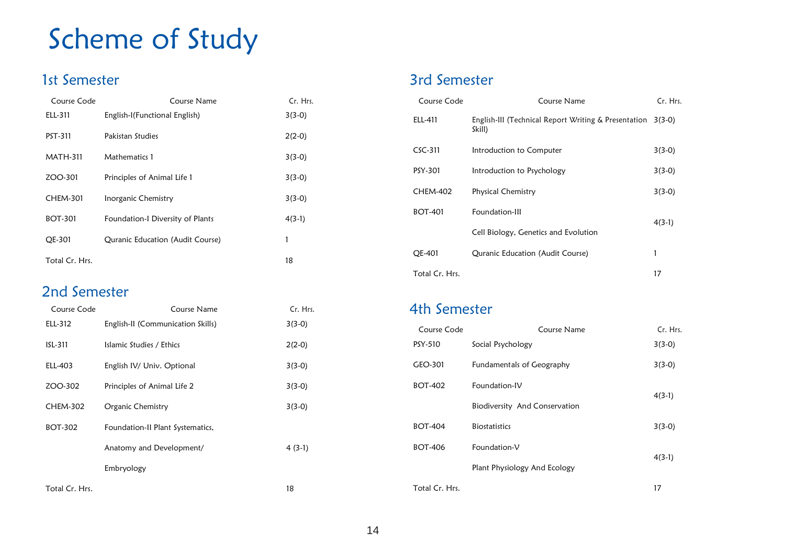## Scheme of Study

### 1st Semester

| Course Code     | Course Name                      | Cr. Hrs. |
|-----------------|----------------------------------|----------|
| ELL-311         | English-I(Functional English)    | $3(3-0)$ |
| PST-311         | Pakistan Studies                 | $2(2-0)$ |
| <b>MATH-311</b> | Mathematics 1                    | $3(3-0)$ |
| ZOO-301         | Principles of Animal Life 1      | $3(3-0)$ |
| <b>CHEM-301</b> | Inorganic Chemistry              | $3(3-0)$ |
| <b>BOT-301</b>  | Foundation-I Diversity of Plants | $4(3-1)$ |
| OE-301          | Quranic Education (Audit Course) | 1        |
| Total Cr. Hrs.  |                                  | 18       |

#### 2nd Semester

| Course Code     | Course Name                       | Cr. Hrs. |
|-----------------|-----------------------------------|----------|
| ELL-312         | English-II (Communication Skills) | $3(3-0)$ |
| ISL-311         | Islamic Studies / Ethics          | $2(2-0)$ |
| ELL-403         | English IV/ Univ. Optional        | $3(3-0)$ |
| ZOO-302         | Principles of Animal Life 2       | $3(3-0)$ |
| <b>CHEM-302</b> | Organic Chemistry                 | $3(3-0)$ |
| <b>BOT-302</b>  | Foundation-II Plant Systematics,  |          |
|                 | Anatomy and Development/          | $4(3-1)$ |
|                 | Embryology                        |          |
| Total Cr. Hrs.  |                                   | 18       |

#### 3rd Semester

| Course Code     | Course Name                                                           | Cr. Hrs. |
|-----------------|-----------------------------------------------------------------------|----------|
| ELL-411         | English-III (Technical Report Writing & Presentation 3(3-0)<br>Skill) |          |
| $CSC-311$       | Introduction to Computer                                              | $3(3-0)$ |
| PSY-301         | Introduction to Psychology                                            | $3(3-0)$ |
| <b>CHEM-402</b> | Physical Chemistry                                                    | $3(3-0)$ |
| <b>BOT-401</b>  | Foundation-III                                                        | $4(3-1)$ |
|                 | Cell Biology, Genetics and Evolution                                  |          |
| QE-401          | Quranic Education (Audit Course)                                      | 1        |
| Total Cr. Hrs.  |                                                                       | 17       |

#### 4th Semester

| Course Code    | Course Name                   | Cr. Hrs. |
|----------------|-------------------------------|----------|
| PSY-510        | Social Psychology             | $3(3-0)$ |
| GEO-301        | Fundamentals of Geography     | $3(3-0)$ |
| <b>BOT-402</b> | Foundation-IV                 |          |
|                | Biodiversity And Conservation | $4(3-1)$ |
| <b>BOT-404</b> | <b>Biostatistics</b>          | $3(3-0)$ |
| <b>BOT-406</b> | Foundation-V                  |          |
|                | Plant Physiology And Ecology  | $4(3-1)$ |
| Total Cr. Hrs. |                               | 17       |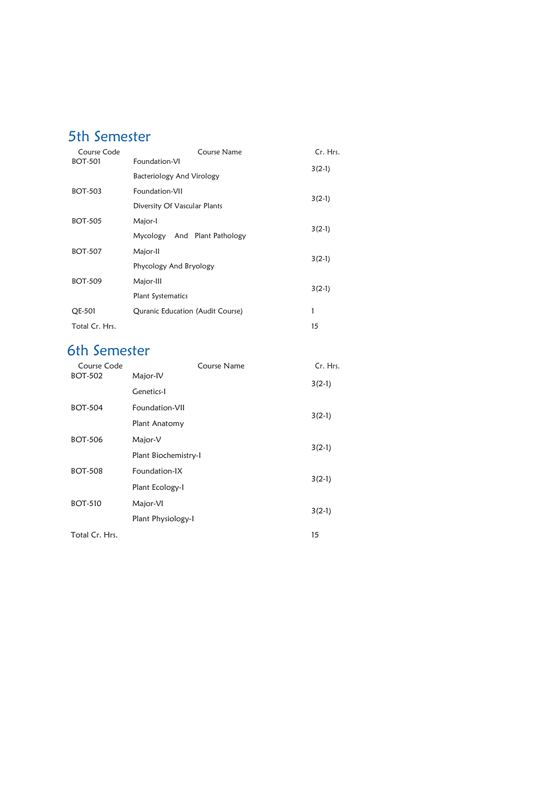## 5th Semester

| Course Code    | Course Name                      | Cr. Hrs. |
|----------------|----------------------------------|----------|
| <b>BOT-501</b> | Foundation-VI                    | $3(2-1)$ |
|                | Bacteriology And Virology        |          |
| <b>BOT-503</b> | Foundation-VII                   | $3(2-1)$ |
|                | Diversity Of Vascular Plants     |          |
| <b>BOT-505</b> | Major-I                          | $3(2-1)$ |
|                | And Plant Pathology<br>Mycology  |          |
| <b>BOT-507</b> | Major-II                         | $3(2-1)$ |
|                | Phycology And Bryology           |          |
| <b>BOT-509</b> | Major-III                        | $3(2-1)$ |
|                | Plant Systematics                |          |
| QE-501         | Quranic Education (Audit Course) | 1        |
| Total Cr. Hrs. |                                  | 15       |

## 6th Semester

| Course Code    | Course Name          | Cr. Hrs. |
|----------------|----------------------|----------|
| <b>BOT-502</b> | Major-IV             | $3(2-1)$ |
|                | Genetics-I           |          |
| <b>BOT-504</b> | Foundation-VII       | $3(2-1)$ |
|                | Plant Anatomy        |          |
| <b>BOT-506</b> | Major-V              | $3(2-1)$ |
|                | Plant Biochemistry-1 |          |
| <b>BOT-508</b> | Foundation-IX        | $3(2-1)$ |
|                | Plant Ecology-1      |          |
| <b>BOT-510</b> | Major-VI             | $3(2-1)$ |
|                | Plant Physiology-1   |          |
| Total Cr. Hrs. |                      | 15       |